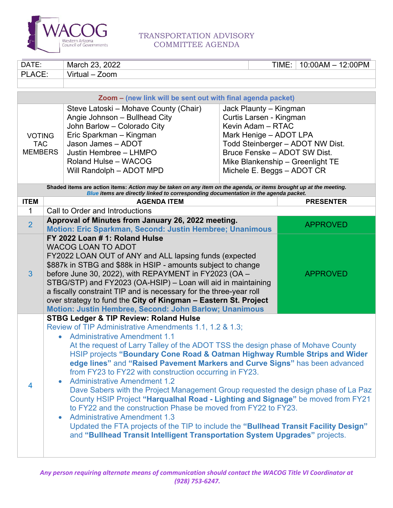

## TRANSPORTATION ADVISORY COMMITTEE AGENDA

| DATE:                                                       |                                                                                                                                                                                                                                                                                                                                                                                                                                                                                                                                                                                                                                                                                                                                                                                                                                                                                                                                                                 | March 23, 2022                                                                                                                                                                                                                                                                                                                                                         |  | TIME: | $10:00AM - 12:00PM$                                                                                  |  |
|-------------------------------------------------------------|-----------------------------------------------------------------------------------------------------------------------------------------------------------------------------------------------------------------------------------------------------------------------------------------------------------------------------------------------------------------------------------------------------------------------------------------------------------------------------------------------------------------------------------------------------------------------------------------------------------------------------------------------------------------------------------------------------------------------------------------------------------------------------------------------------------------------------------------------------------------------------------------------------------------------------------------------------------------|------------------------------------------------------------------------------------------------------------------------------------------------------------------------------------------------------------------------------------------------------------------------------------------------------------------------------------------------------------------------|--|-------|------------------------------------------------------------------------------------------------------|--|
| PLACE:                                                      |                                                                                                                                                                                                                                                                                                                                                                                                                                                                                                                                                                                                                                                                                                                                                                                                                                                                                                                                                                 | Virtual - Zoom                                                                                                                                                                                                                                                                                                                                                         |  |       |                                                                                                      |  |
|                                                             |                                                                                                                                                                                                                                                                                                                                                                                                                                                                                                                                                                                                                                                                                                                                                                                                                                                                                                                                                                 |                                                                                                                                                                                                                                                                                                                                                                        |  |       |                                                                                                      |  |
| Zoom - (new link will be sent out with final agenda packet) |                                                                                                                                                                                                                                                                                                                                                                                                                                                                                                                                                                                                                                                                                                                                                                                                                                                                                                                                                                 |                                                                                                                                                                                                                                                                                                                                                                        |  |       |                                                                                                      |  |
| <b>VOTING</b><br><b>TAC</b><br><b>MEMBERS</b>               |                                                                                                                                                                                                                                                                                                                                                                                                                                                                                                                                                                                                                                                                                                                                                                                                                                                                                                                                                                 | Steve Latoski - Mohave County (Chair)<br>Jack Plaunty - Kingman<br>Curtis Larsen - Kingman<br>Angie Johnson - Bullhead City<br>John Barlow - Colorado City<br>Kevin Adam - RTAC<br>Mark Henige - ADOT LPA<br>Eric Sparkman - Kingman<br>Jason James - ADOT<br>Justin Hembree - LHMPO<br>Roland Hulse - WACOG<br>Will Randolph - ADOT MPD<br>Michele E. Beggs - ADOT CR |  |       | Todd Steinberger - ADOT NW Dist.<br>Bruce Fenske - ADOT SW Dist.<br>Mike Blankenship - Greenlight TE |  |
|                                                             |                                                                                                                                                                                                                                                                                                                                                                                                                                                                                                                                                                                                                                                                                                                                                                                                                                                                                                                                                                 | Shaded items are action items: Action may be taken on any item on the agenda, or items brought up at the meeting.<br>Blue items are directly linked to corresponding documentation in the agenda packet.                                                                                                                                                               |  |       |                                                                                                      |  |
| <b>ITEM</b>                                                 |                                                                                                                                                                                                                                                                                                                                                                                                                                                                                                                                                                                                                                                                                                                                                                                                                                                                                                                                                                 | <b>AGENDA ITEM</b>                                                                                                                                                                                                                                                                                                                                                     |  |       | <b>PRESENTER</b>                                                                                     |  |
| $\mathbf{1}$                                                |                                                                                                                                                                                                                                                                                                                                                                                                                                                                                                                                                                                                                                                                                                                                                                                                                                                                                                                                                                 | Call to Order and Introductions                                                                                                                                                                                                                                                                                                                                        |  |       |                                                                                                      |  |
| $\overline{2}$                                              |                                                                                                                                                                                                                                                                                                                                                                                                                                                                                                                                                                                                                                                                                                                                                                                                                                                                                                                                                                 | Approval of Minutes from January 26, 2022 meeting.<br>Motion: Eric Sparkman, Second: Justin Hembree; Unanimous                                                                                                                                                                                                                                                         |  |       | <b>APPROVED</b>                                                                                      |  |
| 3                                                           | FY 2022 Loan # 1: Roland Hulse<br><b>WACOG LOAN TO ADOT</b><br>FY2022 LOAN OUT of ANY and ALL lapsing funds (expected<br>\$887k in STBG and \$88k in HSIP - amounts subject to change<br>before June 30, 2022), with REPAYMENT in FY2023 (OA -<br><b>APPROVED</b><br>STBG/STP) and FY2023 (OA-HSIP) - Loan will aid in maintaining<br>a fiscally constraint TIP and is necessary for the three-year roll<br>over strategy to fund the City of Kingman - Eastern St. Project<br>Motion: Justin Hembree, Second: John Barlow; Unanimous                                                                                                                                                                                                                                                                                                                                                                                                                           |                                                                                                                                                                                                                                                                                                                                                                        |  |       |                                                                                                      |  |
| $\overline{4}$                                              | <b>STBG Ledger &amp; TIP Review: Roland Hulse</b><br>Review of TIP Administrative Amendments 1.1, 1.2 & 1.3;<br><b>Administrative Amendment 1.1</b><br>At the request of Larry Talley of the ADOT TSS the design phase of Mohave County<br>HSIP projects "Boundary Cone Road & Oatman Highway Rumble Strips and Wider<br>edge lines" and "Raised Pavement Markers and Curve Signs" has been advanced<br>from FY23 to FY22 with construction occurring in FY23.<br><b>Administrative Amendment 1.2</b><br>Dave Sabers with the Project Management Group requested the design phase of La Paz<br>County HSIP Project "Harqualhal Road - Lighting and Signage" be moved from FY21<br>to FY22 and the construction Phase be moved from FY22 to FY23.<br><b>Administrative Amendment 1.3</b><br>Updated the FTA projects of the TIP to include the "Bullhead Transit Facility Design"<br>and "Bullhead Transit Intelligent Transportation System Upgrades" projects. |                                                                                                                                                                                                                                                                                                                                                                        |  |       |                                                                                                      |  |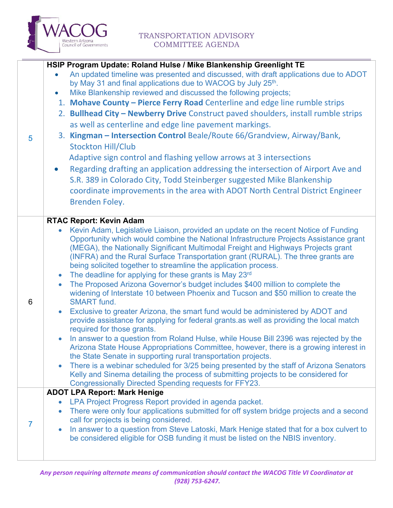

|                | HSIP Program Update: Roland Hulse / Mike Blankenship Greenlight TE                                                                                                                     |  |
|----------------|----------------------------------------------------------------------------------------------------------------------------------------------------------------------------------------|--|
|                | An updated timeline was presented and discussed, with draft applications due to ADOT                                                                                                   |  |
|                | by May 31 and final applications due to WACOG by July 25th.                                                                                                                            |  |
|                | Mike Blankenship reviewed and discussed the following projects;<br>$\bullet$                                                                                                           |  |
|                | 1. Mohave County - Pierce Ferry Road Centerline and edge line rumble strips                                                                                                            |  |
|                | 2. Bullhead City - Newberry Drive Construct paved shoulders, install rumble strips                                                                                                     |  |
|                | as well as centerline and edge line pavement markings.                                                                                                                                 |  |
| $\overline{5}$ | 3. Kingman - Intersection Control Beale/Route 66/Grandview, Airway/Bank,                                                                                                               |  |
|                | <b>Stockton Hill/Club</b>                                                                                                                                                              |  |
|                | Adaptive sign control and flashing yellow arrows at 3 intersections                                                                                                                    |  |
|                | Regarding drafting an application addressing the intersection of Airport Ave and<br>$\bullet$                                                                                          |  |
|                |                                                                                                                                                                                        |  |
|                | S.R. 389 in Colorado City, Todd Steinberger suggested Mike Blankenship                                                                                                                 |  |
|                | coordinate improvements in the area with ADOT North Central District Engineer                                                                                                          |  |
|                | <b>Brenden Foley.</b>                                                                                                                                                                  |  |
|                | <b>RTAC Report: Kevin Adam</b>                                                                                                                                                         |  |
|                | Kevin Adam, Legislative Liaison, provided an update on the recent Notice of Funding                                                                                                    |  |
|                | Opportunity which would combine the National Infrastructure Projects Assistance grant                                                                                                  |  |
|                | (MEGA), the Nationally Significant Multimodal Freight and Highways Projects grant                                                                                                      |  |
|                | (INFRA) and the Rural Surface Transportation grant (RURAL). The three grants are                                                                                                       |  |
|                | being solicited together to streamline the application process.                                                                                                                        |  |
|                | The deadline for applying for these grants is May 23rd<br>$\bullet$                                                                                                                    |  |
|                | The Proposed Arizona Governor's budget includes \$400 million to complete the<br>$\bullet$                                                                                             |  |
|                | widening of Interstate 10 between Phoenix and Tucson and \$50 million to create the                                                                                                    |  |
| 6              | <b>SMART</b> fund.                                                                                                                                                                     |  |
|                | Exclusive to greater Arizona, the smart fund would be administered by ADOT and<br>$\bullet$<br>provide assistance for applying for federal grants.as well as providing the local match |  |
|                | required for those grants.                                                                                                                                                             |  |
|                | In answer to a question from Roland Hulse, while House Bill 2396 was rejected by the                                                                                                   |  |
|                | Arizona State House Appropriations Committee, however, there is a growing interest in                                                                                                  |  |
|                | the State Senate in supporting rural transportation projects.                                                                                                                          |  |
|                | There is a webinar scheduled for 3/25 being presented by the staff of Arizona Senators                                                                                                 |  |
|                | Kelly and Sinema detailing the process of submitting projects to be considered for                                                                                                     |  |
|                | <b>Congressionally Directed Spending requests for FFY23.</b>                                                                                                                           |  |
|                | <b>ADOT LPA Report: Mark Henige</b><br>LPA Project Progress Report provided in agenda packet.                                                                                          |  |
|                | $\bullet$<br>There were only four applications submitted for off system bridge projects and a second<br>$\bullet$                                                                      |  |
|                | call for projects is being considered.                                                                                                                                                 |  |
| $\prime$       | In answer to a question from Steve Latoski, Mark Henige stated that for a box culvert to<br>$\bullet$                                                                                  |  |
|                | be considered eligible for OSB funding it must be listed on the NBIS inventory.                                                                                                        |  |
|                |                                                                                                                                                                                        |  |
|                |                                                                                                                                                                                        |  |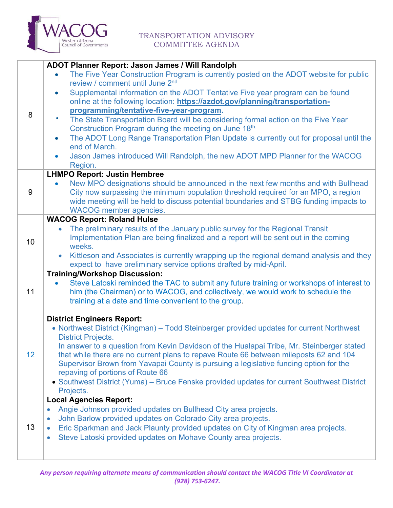

| 8               | ADOT Planner Report: Jason James / Will Randolph<br>The Five Year Construction Program is currently posted on the ADOT website for public<br>$\bullet$<br>review / comment until June 2 <sup>nd</sup><br>Supplemental information on the ADOT Tentative Five year program can be found<br>$\bullet$<br>online at the following location: https://azdot.gov/planning/transportation-<br>programming/tentative-five-year-program.<br>The State Transportation Board will be considering formal action on the Five Year<br>٠<br>Construction Program during the meeting on June 18th.<br>The ADOT Long Range Transportation Plan Update is currently out for proposal until the<br>$\bullet$<br>end of March.<br>Jason James introduced Will Randolph, the new ADOT MPD Planner for the WACOG<br>$\bullet$<br>Region. |  |
|-----------------|--------------------------------------------------------------------------------------------------------------------------------------------------------------------------------------------------------------------------------------------------------------------------------------------------------------------------------------------------------------------------------------------------------------------------------------------------------------------------------------------------------------------------------------------------------------------------------------------------------------------------------------------------------------------------------------------------------------------------------------------------------------------------------------------------------------------|--|
| 9               | <b>LHMPO Report: Justin Hembree</b><br>New MPO designations should be announced in the next few months and with Bullhead<br>City now surpassing the minimum population threshold required for an MPO, a region<br>wide meeting will be held to discuss potential boundaries and STBG funding impacts to<br><b>WACOG</b> member agencies.                                                                                                                                                                                                                                                                                                                                                                                                                                                                           |  |
| 10              | <b>WACOG Report: Roland Hulse</b><br>The preliminary results of the January public survey for the Regional Transit<br>Implementation Plan are being finalized and a report will be sent out in the coming<br>weeks.<br>Kittleson and Associates is currently wrapping up the regional demand analysis and they<br>$\bullet$<br>expect to have preliminary service options drafted by mid-April.                                                                                                                                                                                                                                                                                                                                                                                                                    |  |
| 11              | <b>Training/Workshop Discussion:</b><br>Steve Latoski reminded the TAC to submit any future training or workshops of interest to<br>him (the Chairman) or to WACOG, and collectively, we would work to schedule the<br>training at a date and time convenient to the group.                                                                                                                                                                                                                                                                                                                                                                                                                                                                                                                                        |  |
| 12 <sup>2</sup> | <b>District Engineers Report:</b><br>• Northwest District (Kingman) – Todd Steinberger provided updates for current Northwest<br><b>District Projects.</b><br>In answer to a question from Kevin Davidson of the Hualapai Tribe, Mr. Steinberger stated<br>that while there are no current plans to repave Route 66 between mileposts 62 and 104<br>Supervisor Brown from Yavapai County is pursuing a legislative funding option for the<br>repaving of portions of Route 66<br>• Southwest District (Yuma) - Bruce Fenske provided updates for current Southwest District<br>Projects.                                                                                                                                                                                                                           |  |
| 13              | <b>Local Agencies Report:</b><br>Angie Johnson provided updates on Bullhead City area projects.<br>$\bullet$<br>John Barlow provided updates on Colorado City area projects.<br>$\bullet$<br>Eric Sparkman and Jack Plaunty provided updates on City of Kingman area projects.<br>$\bullet$<br>Steve Latoski provided updates on Mohave County area projects.<br>$\bullet$                                                                                                                                                                                                                                                                                                                                                                                                                                         |  |